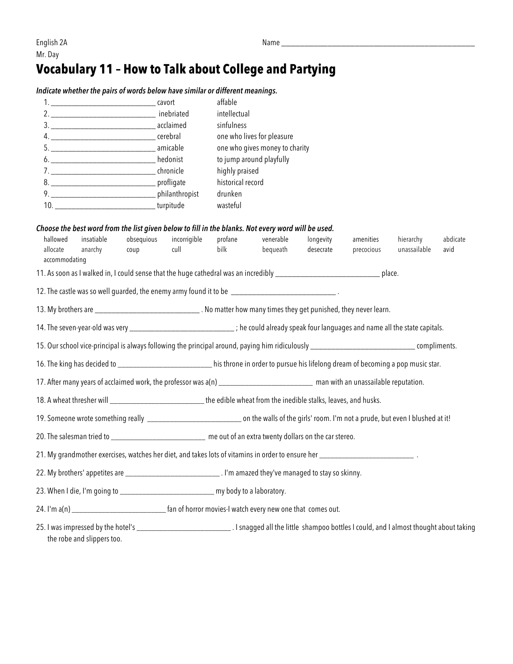## **Vocabulary 11 – How to Talk about College and Partying**

*Indicate whether the pairs of words below have similar or different meanings.*

|                                                                                                                                                  |                            |            |                                                                                                                                                 | affable                                                                                                                                       |           |           |            |              |          |  |
|--------------------------------------------------------------------------------------------------------------------------------------------------|----------------------------|------------|-------------------------------------------------------------------------------------------------------------------------------------------------|-----------------------------------------------------------------------------------------------------------------------------------------------|-----------|-----------|------------|--------------|----------|--|
|                                                                                                                                                  |                            |            |                                                                                                                                                 | intellectual                                                                                                                                  |           |           |            |              |          |  |
| 6. _________________________________hedonist                                                                                                     |                            |            |                                                                                                                                                 | sinfulness<br>one who lives for pleasure<br>one who gives money to charity<br>to jump around playfully<br>highly praised<br>historical record |           |           |            |              |          |  |
|                                                                                                                                                  |                            |            |                                                                                                                                                 |                                                                                                                                               |           |           |            |              |          |  |
|                                                                                                                                                  |                            |            |                                                                                                                                                 |                                                                                                                                               |           |           |            |              |          |  |
|                                                                                                                                                  |                            |            | chronicle<br>profligate                                                                                                                         |                                                                                                                                               |           |           |            |              |          |  |
|                                                                                                                                                  |                            |            |                                                                                                                                                 |                                                                                                                                               |           |           |            |              |          |  |
|                                                                                                                                                  |                            |            |                                                                                                                                                 | drunken                                                                                                                                       |           |           |            |              |          |  |
| 10. __________________________________turpitude                                                                                                  |                            |            | wasteful                                                                                                                                        |                                                                                                                                               |           |           |            |              |          |  |
|                                                                                                                                                  |                            |            | Choose the best word from the list given below to fill in the blanks. Not every word will be used.                                              |                                                                                                                                               |           |           |            |              |          |  |
| hallowed                                                                                                                                         | insatiable                 | obsequious | incorrigible                                                                                                                                    | profane                                                                                                                                       | venerable | longevity | amenities  | hierarchy    | abdicate |  |
| allocate<br>accommodating                                                                                                                        | anarchy                    | coup       | cull                                                                                                                                            | bilk                                                                                                                                          | bequeath  | desecrate | precocious | unassailable | avid     |  |
|                                                                                                                                                  |                            |            |                                                                                                                                                 |                                                                                                                                               |           |           |            |              |          |  |
|                                                                                                                                                  |                            |            | 12. The castle was so well guarded, the enemy army found it to be ______________________________.                                               |                                                                                                                                               |           |           |            |              |          |  |
|                                                                                                                                                  |                            |            | 13. My brothers are _______________________________. No matter how many times they get punished, they never learn.                              |                                                                                                                                               |           |           |            |              |          |  |
|                                                                                                                                                  |                            |            | 14. The seven-year-old was very _______________________________; he could already speak four languages and name all the state capitals.         |                                                                                                                                               |           |           |            |              |          |  |
|                                                                                                                                                  |                            |            | 15. Our school vice-principal is always following the principal around, paying him ridiculously __________________________________ compliments. |                                                                                                                                               |           |           |            |              |          |  |
|                                                                                                                                                  |                            |            | 16. The king has decided to _________________________his throne in order to pursue his lifelong dream of becoming a pop music star.             |                                                                                                                                               |           |           |            |              |          |  |
| 17. After many years of acclaimed work, the professor was a(n) ______________________________ man with an unassailable reputation.               |                            |            |                                                                                                                                                 |                                                                                                                                               |           |           |            |              |          |  |
| 18. A wheat thresher will ______________________________the edible wheat from the inedible stalks, leaves, and husks.                            |                            |            |                                                                                                                                                 |                                                                                                                                               |           |           |            |              |          |  |
| 19. Someone wrote something really _________________________________ on the walls of the girls' room. I'm not a prude, but even I blushed at it! |                            |            |                                                                                                                                                 |                                                                                                                                               |           |           |            |              |          |  |
|                                                                                                                                                  |                            |            | 20. The salesman tried to _________________________ me out of an extra twenty dollars on the car stereo.                                        |                                                                                                                                               |           |           |            |              |          |  |
|                                                                                                                                                  |                            |            |                                                                                                                                                 |                                                                                                                                               |           |           |            |              |          |  |
|                                                                                                                                                  |                            |            | 22. My brothers' appetites are ________________________________. I'm amazed they've managed to stay so skinny.                                  |                                                                                                                                               |           |           |            |              |          |  |
|                                                                                                                                                  |                            |            | 23. When I die, I'm going to ________________________________ my body to a laboratory.                                                          |                                                                                                                                               |           |           |            |              |          |  |
|                                                                                                                                                  |                            |            |                                                                                                                                                 |                                                                                                                                               |           |           |            |              |          |  |
|                                                                                                                                                  | the robe and slippers too. |            |                                                                                                                                                 |                                                                                                                                               |           |           |            |              |          |  |